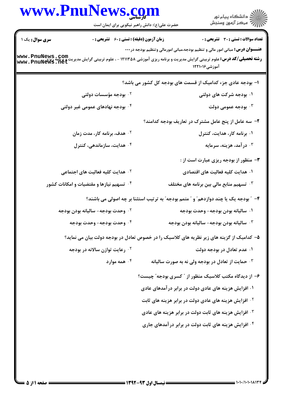|                | www.PnuNews.com<br>حضرت علی(ع): دانش راهبر نیکویی برای ایمان است | الاد دانشگاه پيام نور<br>الا مرکز آزمون وسنجش                                                                                                                                                                                                                  |
|----------------|------------------------------------------------------------------|----------------------------------------------------------------------------------------------------------------------------------------------------------------------------------------------------------------------------------------------------------------|
| سری سوال: یک ۱ | زمان آزمون (دقیقه) : تستی : 60 ٪ تشریحی : 0                      | <b>تعداد سوالات : تستی : 30 ٪ تشریحی : 0</b>                                                                                                                                                                                                                   |
|                |                                                                  | <b>عنـــوان درس:</b> مبانی امور مالی و تنظیم بودجه،مبانی امورمالی وتنظیم بودجه در <b>۰۰۰</b><br><b>رشته تحصیلی/کد درس:</b> علوم تربیتی گرایش مدیریت و برنامه ریزی آموزشی ۱۲۱۱۳۵۸ - ، علوم تربیتی گرایش مدیریت و برنامه<br>www . PnuNews . net<br>آموزشی۱۲۲۱۰۱۶ |
|                |                                                                  | ا– بودجه عادی جزء کدامیک از قسمت های بودجه کل کشور می باشد؟                                                                                                                                                                                                    |
|                | ۰ <sup>۲</sup> بودجه مؤسسات دولتی                                | ۰۱ بودجه شرکت های دولتی                                                                                                                                                                                                                                        |
|                | ۰۴ بودجه نهادهای عمومی غیر دولتی                                 | بودجه عمومی دولت $\cdot$                                                                                                                                                                                                                                       |
|                |                                                                  | ۲- سه عامل از پنج عامل مشترک در تعاریف بودجه کدامند؟                                                                                                                                                                                                           |
|                | ۰۲ هدف، برنامه کار، مدت زمان                                     | ۰۱ برنامه کار، هدایت، کنترل                                                                                                                                                                                                                                    |
|                | ۰۴ هدایت، سازماندهی، کنترل                                       | ۰۳ در آمد، هزینه، سرمایه                                                                                                                                                                                                                                       |
|                |                                                                  | <b>۳</b> - منظور از بودجه ریزی عبارت است از :                                                                                                                                                                                                                  |
|                | <sup>۲.</sup> هدایت کلیه فعالیت های اجتماعی                      | ۰۱ هدایت کلیه فعالیت های اقتصادی                                                                                                                                                                                                                               |
|                | ۰۴ تسهیم نیازها و مقتضیات و امکانات کشور                         | تسهیم منابع مالی بین برنامه های مختلف $\cdot$                                                                                                                                                                                                                  |
|                |                                                                  | ۴- ″ بودجه یک یا چند دوازدهم″ و ″ متمم بودجه″ به ترتیب استثنا بر چه اصولی می باشند؟                                                                                                                                                                            |
|                | ۰ <sup>۲</sup> وحدت بودجه- سالیانه بودن بودجه                    | ۰۱ ساليانه بودن بودجه- وحدت بودجه                                                                                                                                                                                                                              |
|                | ۰ <sup>۴</sup> وحدت بودجه- وحدت بودجه                            | ساليانه بودن بودجه- ساليانه بودن بودجه $\cdot^{\texttt{w}}$                                                                                                                                                                                                    |
|                |                                                                  | ۵– کدامیک از گزینه های زیر نظریه های کلاسیک را در خصوص تعادل در بودجه دولت بیان می نماید؟                                                                                                                                                                      |
|                | <sup>۲</sup> ۰ رعایت توازن سالانه در بودجه                       | ۰۱ عدم تعادل در بودجه دولت                                                                                                                                                                                                                                     |
|                | همه موارد $\cdot$ ۴                                              | حمایت از تعادل در بودجه ولی نه به صورت سالیانه $\cdot ^{\mathrm{v}}$                                                                                                                                                                                           |
|                |                                                                  | ۶– از دیدگاه مکتب کلاسیک منظور از " کسری بودجه" چیست؟                                                                                                                                                                                                          |
|                |                                                                  | ۰۱ افزایش هزینه های عادی دولت در برابر درآمدهای عادی                                                                                                                                                                                                           |
|                |                                                                  | <sup>7</sup> · افزایش هزینه های عادی دولت در برابر هزینه های ثابت                                                                                                                                                                                              |
|                |                                                                  | ۰۳ افزایش هزینه های ثابت دولت در برابر هزینه های عادی                                                                                                                                                                                                          |
|                |                                                                  | ۰۴ افزایش هزینه های ثابت دولت در برابر درآمدهای جاری                                                                                                                                                                                                           |
|                |                                                                  |                                                                                                                                                                                                                                                                |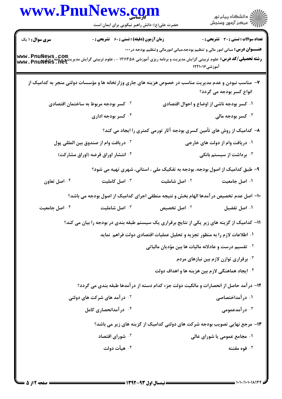| <b>سری سوال : ۱ یک</b><br><b>زمان آزمون (دقیقه) : تستی : 60 ٪ تشریحی : 0</b><br><b>تعداد سوالات : تستی : 30 ٪ تشریحی : 0</b><br><b>عنـــوان درس:</b> مبانی امور مالی و تنظیم بودجه،مبانی امورمالی وتنظیم بودجه در <b>۰۰۰</b><br><b>رشته تحصیلی/کد درس:</b><br>و <b>شته تحصیلی/کد درس:</b> علوم تربیتی گرایش مدیریت و برنامه ریزی آموزشی ۱۲۱۱۳۵۸ - ، علوم تربیتی گرایش مدیریت و برنامه<br>www . PnuNews . net<br>آموزشی۱۲۲۱۰۱۶<br>۷- مناسب نبودن و عدم مدیریت مناسب در خصوص هزینه های جاری وزارتخانه ها و مؤسسات دولتی منجر به کدامیک از<br>انواع کسر بودجه می گردد؟<br><sup>۲.</sup> کسر بودجه مربوط به ساختمان اقتصادی<br>۰۱ کسر بودجه ناشی از اوضاع و احوال اقتصادی<br>۰ <sup>۳</sup> کسر بودجه مالی<br>۰۴ کسر بودجه اداری<br>۸– کدامیک از روش های تأمین کسری بودجه آثار تورمی کمتری را ایجاد می کند؟<br>۰۱ دریافت وام از دولت های خارجی<br>۰۲ دریافت وام از صندوق بین المللی پول<br>۰۴ انتشار اوراق قرضه (اوراق مشارکت)<br>۰ <sup>۳</sup> برداشت از سیستم بانکی <b>۴</b><br>۹- طبق کدامیک از اصول بودجه، بودجه به تفکیک ملی ، استانی، شهری تهیه می شود؟<br>۰۴ اصل تعاون<br>اصل کاملیت $\cdot$<br>۰ <sup>۲</sup> اصل شاملیت<br>۰۱ اصل جامعیت<br>۱۰– اصل عدم تخصیص در آمدها الهام بخش و نتیجه منطقی اجرای کدامیک از اصول بودجه می باشد؟<br>۰۴ اصل جامعیت<br>اصل شاملیت $\cdot$<br>۰ <sup>۲</sup> اصل تخصیص<br>۰۱ اصل تفضیل<br>1۱– کدامیک از گزینه های زیر یکی از نتایج برقراری یک سیستم طبقه بندی در بودجه را بیان می کند؟<br>۰۱ اطلاعات لازم را به منظور تجزیه و تحلیل عملیات اقتصادی دولت فراهم ًنماید<br><sup>٢</sup> ٠ تقسیم درست و عادلانه مالیات ها بین مؤدیان مالیاتی<br>۰۳ برقراری توازن لازم بین نیازهای مردم<br>۰۴ ایجاد هماهنگی لازم بین هزینه ها و اهداف دولت<br>۱۲- درآمد حاصل از انحصارات و مالکیت دولت جزء کدام دسته از درآمدها طبقه بندی می گردد؟<br>۰۱ در آمداختصاصی<br><b>گ در آمد های شرکت های دولتی</b><br>در آمدعمومی $\cdot$ ۳<br>۰۴ در آمدانحصاری کامل<br>۱۳- مرجع نهایی تصویب بودجه شرکت های دولتی کدامیک از گزینه های زیر می باشد؟<br>۰ <sup>۲</sup> شورای اقتصاد<br>۰۱ مجامع عمومی یا شورای عالی<br>۰۴ هيأت دولت<br>قوه مقننه $\cdot$ " | www.PnuNews.com | حضرت علی(ع): دانش راهبر نیکویی برای ایمان است | الاد دانشگاه پيام نور<br>الاسم مرکز آزمون وسنجش |
|--------------------------------------------------------------------------------------------------------------------------------------------------------------------------------------------------------------------------------------------------------------------------------------------------------------------------------------------------------------------------------------------------------------------------------------------------------------------------------------------------------------------------------------------------------------------------------------------------------------------------------------------------------------------------------------------------------------------------------------------------------------------------------------------------------------------------------------------------------------------------------------------------------------------------------------------------------------------------------------------------------------------------------------------------------------------------------------------------------------------------------------------------------------------------------------------------------------------------------------------------------------------------------------------------------------------------------------------------------------------------------------------------------------------------------------------------------------------------------------------------------------------------------------------------------------------------------------------------------------------------------------------------------------------------------------------------------------------------------------------------------------------------------------------------------------------------------------------------------------------------------------------------------------------------------------------------------------------------------------------------------------------------------------------------------------------|-----------------|-----------------------------------------------|-------------------------------------------------|
|                                                                                                                                                                                                                                                                                                                                                                                                                                                                                                                                                                                                                                                                                                                                                                                                                                                                                                                                                                                                                                                                                                                                                                                                                                                                                                                                                                                                                                                                                                                                                                                                                                                                                                                                                                                                                                                                                                                                                                                                                                                                    |                 |                                               |                                                 |
|                                                                                                                                                                                                                                                                                                                                                                                                                                                                                                                                                                                                                                                                                                                                                                                                                                                                                                                                                                                                                                                                                                                                                                                                                                                                                                                                                                                                                                                                                                                                                                                                                                                                                                                                                                                                                                                                                                                                                                                                                                                                    |                 |                                               |                                                 |
|                                                                                                                                                                                                                                                                                                                                                                                                                                                                                                                                                                                                                                                                                                                                                                                                                                                                                                                                                                                                                                                                                                                                                                                                                                                                                                                                                                                                                                                                                                                                                                                                                                                                                                                                                                                                                                                                                                                                                                                                                                                                    |                 |                                               |                                                 |
|                                                                                                                                                                                                                                                                                                                                                                                                                                                                                                                                                                                                                                                                                                                                                                                                                                                                                                                                                                                                                                                                                                                                                                                                                                                                                                                                                                                                                                                                                                                                                                                                                                                                                                                                                                                                                                                                                                                                                                                                                                                                    |                 |                                               |                                                 |
|                                                                                                                                                                                                                                                                                                                                                                                                                                                                                                                                                                                                                                                                                                                                                                                                                                                                                                                                                                                                                                                                                                                                                                                                                                                                                                                                                                                                                                                                                                                                                                                                                                                                                                                                                                                                                                                                                                                                                                                                                                                                    |                 |                                               |                                                 |
|                                                                                                                                                                                                                                                                                                                                                                                                                                                                                                                                                                                                                                                                                                                                                                                                                                                                                                                                                                                                                                                                                                                                                                                                                                                                                                                                                                                                                                                                                                                                                                                                                                                                                                                                                                                                                                                                                                                                                                                                                                                                    |                 |                                               |                                                 |
|                                                                                                                                                                                                                                                                                                                                                                                                                                                                                                                                                                                                                                                                                                                                                                                                                                                                                                                                                                                                                                                                                                                                                                                                                                                                                                                                                                                                                                                                                                                                                                                                                                                                                                                                                                                                                                                                                                                                                                                                                                                                    |                 |                                               |                                                 |
|                                                                                                                                                                                                                                                                                                                                                                                                                                                                                                                                                                                                                                                                                                                                                                                                                                                                                                                                                                                                                                                                                                                                                                                                                                                                                                                                                                                                                                                                                                                                                                                                                                                                                                                                                                                                                                                                                                                                                                                                                                                                    |                 |                                               |                                                 |
|                                                                                                                                                                                                                                                                                                                                                                                                                                                                                                                                                                                                                                                                                                                                                                                                                                                                                                                                                                                                                                                                                                                                                                                                                                                                                                                                                                                                                                                                                                                                                                                                                                                                                                                                                                                                                                                                                                                                                                                                                                                                    |                 |                                               |                                                 |
|                                                                                                                                                                                                                                                                                                                                                                                                                                                                                                                                                                                                                                                                                                                                                                                                                                                                                                                                                                                                                                                                                                                                                                                                                                                                                                                                                                                                                                                                                                                                                                                                                                                                                                                                                                                                                                                                                                                                                                                                                                                                    |                 |                                               |                                                 |
|                                                                                                                                                                                                                                                                                                                                                                                                                                                                                                                                                                                                                                                                                                                                                                                                                                                                                                                                                                                                                                                                                                                                                                                                                                                                                                                                                                                                                                                                                                                                                                                                                                                                                                                                                                                                                                                                                                                                                                                                                                                                    |                 |                                               |                                                 |
|                                                                                                                                                                                                                                                                                                                                                                                                                                                                                                                                                                                                                                                                                                                                                                                                                                                                                                                                                                                                                                                                                                                                                                                                                                                                                                                                                                                                                                                                                                                                                                                                                                                                                                                                                                                                                                                                                                                                                                                                                                                                    |                 |                                               |                                                 |
|                                                                                                                                                                                                                                                                                                                                                                                                                                                                                                                                                                                                                                                                                                                                                                                                                                                                                                                                                                                                                                                                                                                                                                                                                                                                                                                                                                                                                                                                                                                                                                                                                                                                                                                                                                                                                                                                                                                                                                                                                                                                    |                 |                                               |                                                 |
|                                                                                                                                                                                                                                                                                                                                                                                                                                                                                                                                                                                                                                                                                                                                                                                                                                                                                                                                                                                                                                                                                                                                                                                                                                                                                                                                                                                                                                                                                                                                                                                                                                                                                                                                                                                                                                                                                                                                                                                                                                                                    |                 |                                               |                                                 |
|                                                                                                                                                                                                                                                                                                                                                                                                                                                                                                                                                                                                                                                                                                                                                                                                                                                                                                                                                                                                                                                                                                                                                                                                                                                                                                                                                                                                                                                                                                                                                                                                                                                                                                                                                                                                                                                                                                                                                                                                                                                                    |                 |                                               |                                                 |
|                                                                                                                                                                                                                                                                                                                                                                                                                                                                                                                                                                                                                                                                                                                                                                                                                                                                                                                                                                                                                                                                                                                                                                                                                                                                                                                                                                                                                                                                                                                                                                                                                                                                                                                                                                                                                                                                                                                                                                                                                                                                    |                 |                                               |                                                 |
|                                                                                                                                                                                                                                                                                                                                                                                                                                                                                                                                                                                                                                                                                                                                                                                                                                                                                                                                                                                                                                                                                                                                                                                                                                                                                                                                                                                                                                                                                                                                                                                                                                                                                                                                                                                                                                                                                                                                                                                                                                                                    |                 |                                               |                                                 |
|                                                                                                                                                                                                                                                                                                                                                                                                                                                                                                                                                                                                                                                                                                                                                                                                                                                                                                                                                                                                                                                                                                                                                                                                                                                                                                                                                                                                                                                                                                                                                                                                                                                                                                                                                                                                                                                                                                                                                                                                                                                                    |                 |                                               |                                                 |
|                                                                                                                                                                                                                                                                                                                                                                                                                                                                                                                                                                                                                                                                                                                                                                                                                                                                                                                                                                                                                                                                                                                                                                                                                                                                                                                                                                                                                                                                                                                                                                                                                                                                                                                                                                                                                                                                                                                                                                                                                                                                    |                 |                                               |                                                 |
|                                                                                                                                                                                                                                                                                                                                                                                                                                                                                                                                                                                                                                                                                                                                                                                                                                                                                                                                                                                                                                                                                                                                                                                                                                                                                                                                                                                                                                                                                                                                                                                                                                                                                                                                                                                                                                                                                                                                                                                                                                                                    |                 |                                               |                                                 |
|                                                                                                                                                                                                                                                                                                                                                                                                                                                                                                                                                                                                                                                                                                                                                                                                                                                                                                                                                                                                                                                                                                                                                                                                                                                                                                                                                                                                                                                                                                                                                                                                                                                                                                                                                                                                                                                                                                                                                                                                                                                                    |                 |                                               |                                                 |
|                                                                                                                                                                                                                                                                                                                                                                                                                                                                                                                                                                                                                                                                                                                                                                                                                                                                                                                                                                                                                                                                                                                                                                                                                                                                                                                                                                                                                                                                                                                                                                                                                                                                                                                                                                                                                                                                                                                                                                                                                                                                    |                 |                                               |                                                 |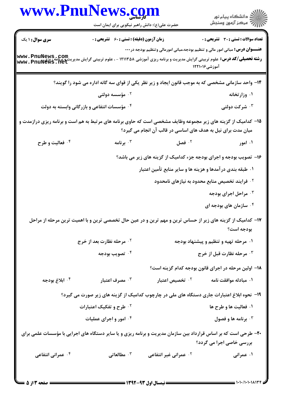|                                                                                                                                                                               | www.PnuNews.com                                                                                                                                                    |                                                                                              |                                               |
|-------------------------------------------------------------------------------------------------------------------------------------------------------------------------------|--------------------------------------------------------------------------------------------------------------------------------------------------------------------|----------------------------------------------------------------------------------------------|-----------------------------------------------|
|                                                                                                                                                                               | حضرت علی(ع): دانش راهبر نیکویی برای ایمان است                                                                                                                      |                                                                                              | ِ<br>∭ دانشڪاه پيام نور<br>∭ مرڪز آزمون وسنڊش |
| <b>سری سوال : ۱ یک</b>                                                                                                                                                        | <b>زمان آزمون (دقیقه) : تستی : 60 ٪ تشریحی : 0</b>                                                                                                                 |                                                                                              | <b>تعداد سوالات : تستی : 30 ٪ تشریحی : 0</b>  |
|                                                                                                                                                                               |                                                                                                                                                                    | <b>عنـــوان درس:</b> مبانی امور مالی و تنظیم بودجه،مبانی امورمالی وتنظیم بودجه در <b>۰۰۰</b> |                                               |
|                                                                                                                                                                               | رشته تحصیلی/کد درس: علوم تربیتی گرایش مدیریت و برنامه ریزی آموزشی ۱۲۱۱۳۵۸ - ، علوم تربیتی گرایش مدیریت پیچاپی که<br>  www . PnuNews : Let<br>  www . PnuNews : Let | آموزشی1۲۱۰۱۶                                                                                 |                                               |
|                                                                                                                                                                               | ۱۴- واحد سازمانی مشخصی که به موجب قانون ایجاد و زیر نظر یکی از قوای سه گانه اداره می شود را گویند؟                                                                 |                                                                                              |                                               |
|                                                                                                                                                                               | ۰ <sup>۲</sup> مؤسسه دولتی                                                                                                                                         |                                                                                              | ۰۱ وزارتخانه                                  |
|                                                                                                                                                                               | ۰۴ مؤسسات انتفاعی و بازرگانی وابسته به دولت                                                                                                                        |                                                                                              | ۰۳ شرکت دولتی                                 |
| ۱۵- کدامیک از گزینه های زیر مجموعه وظایف مشخصی است که حاوی برنامه های مرتبط به هم است و برنامه ریزی درازمدت و<br>میان مدت برای نیل به هدف های اساسی در قالب آن انجام می گیرد؟ |                                                                                                                                                                    |                                                                                              |                                               |
| ۰۴ فعالیت و طرح                                                                                                                                                               | برنامه $\cdot$                                                                                                                                                     | $\cdot$ فصل $\cdot$                                                                          | ۰۱ امور                                       |
|                                                                                                                                                                               |                                                                                                                                                                    | ۱۶- تصویب بودجه و اجرای بودجه جزء کدامیک از گزینه های زیر می باشد؟                           |                                               |
|                                                                                                                                                                               |                                                                                                                                                                    | ۰۱ طبقه بندی درآمدها و هزینه ها و سایر منابع تأمین اعتبار                                    |                                               |
|                                                                                                                                                                               |                                                                                                                                                                    | وایند تخصیص منابع محدود به نیازهای نامحدود $\cdot$                                           |                                               |
|                                                                                                                                                                               |                                                                                                                                                                    |                                                                                              | ۰۳ مراحل اجرای بودجه                          |
|                                                                                                                                                                               |                                                                                                                                                                    |                                                                                              | ۰ <sup>۴</sup> سازمان های بودجه ای            |
|                                                                                                                                                                               | ۱۷– کدامیک از گزینه های زیر از حساس ترین و مهم ترین و در عین حال تخصصی ترین و با اهمیت ترین مرحله از مراحل                                                         |                                                                                              | بودجه است؟                                    |
|                                                                                                                                                                               | <sup>۲.</sup> مرحله نظارت بعد از خرج                                                                                                                               |                                                                                              | ۰۱ مرحله تهیه و تنظیم و پیشنهاد بودجه         |
|                                                                                                                                                                               | ۰۴ تصویب بودجه                                                                                                                                                     |                                                                                              | ۰۳ مرحله نظارت قبل از خرج                     |
|                                                                                                                                                                               |                                                                                                                                                                    | ۱۸– اولین مرحله در اجرای قانون بودجه کدام گزینه است؟                                         |                                               |
| ۰۴ ابلاغ بودجه                                                                                                                                                                | مصرف اعتبار $\cdot$                                                                                                                                                | ۰ <sup>۲</sup> تخصیص اعتبار                                                                  | ۰۱ مبادله موافقت نامه                         |
|                                                                                                                                                                               | ۱۹- نحوه ابلاغ اعتبارات جاری دستگاه های ملی در چارچوب کدامیک از گزینه های زیر صورت می گیرد؟                                                                        |                                                                                              |                                               |
|                                                                                                                                                                               | <sup>۲.</sup> طرح و تفکیک اعتبارات                                                                                                                                 |                                                                                              | ۰۱ فعالیت ها و طرح ها                         |
|                                                                                                                                                                               | ۰۴ امور و اجرای عملیات                                                                                                                                             |                                                                                              | ۰۳ برنامه ها و فصول                           |
|                                                                                                                                                                               | ۲۰- طرحی است که بر اساس قرارداد بین سازمان مدیریت و برنامه ریزی و یا سایر دستگاه های اجرایی با مؤسسات علمی برای                                                    |                                                                                              | بررسی خاصی اجرا می گردد؟                      |
| ۰۴ عمرانی انتفاعی                                                                                                                                                             | مطالعاتى $\cdot$                                                                                                                                                   | <sup>۲.</sup> عمرانی غیر انتفاعی                                                             | ۰۱ عمرانی                                     |
|                                                                                                                                                                               |                                                                                                                                                                    |                                                                                              |                                               |
|                                                                                                                                                                               |                                                                                                                                                                    |                                                                                              |                                               |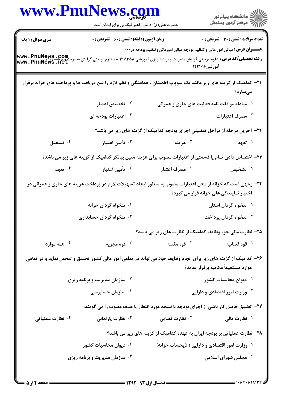| www.PnuNews.com              |                                                                                                                                                                              |                                                                                                               |                                              |
|------------------------------|------------------------------------------------------------------------------------------------------------------------------------------------------------------------------|---------------------------------------------------------------------------------------------------------------|----------------------------------------------|
|                              | حضرت علی(ع): دانش راهبر نیکویی برای ایمان است                                                                                                                                |                                                                                                               | ر دانشگاه پيام نور<br>ا∛هرکز آزمون وسنجش     |
| <b>سری سوال : ۱ یک</b>       | <b>زمان آزمون (دقیقه) : تستی : 60 ٪ تشریحی : 0</b>                                                                                                                           |                                                                                                               | <b>تعداد سوالات : تستی : 30 - تشریحی : 0</b> |
|                              | <b>www . PnuNews , Com.</b><br><b>رشته تحصیلی/کد درس:</b> علوم تربیتی گرایش مدیریت و برنامه ریزی آموزشی ۱۲۱۱۳۵۸ - ، علوم تربیتی گرایش مدیریت و برنامه<br>Www . PnuNews . net | <b>عنـــوان درس:</b> مبانی امور مالی و تنظیم بودجه،مبانی امورمالی وتنظیم بودجه در <b>۰۰۰</b><br>آموزشی۱۲۲۱۰۱۶ |                                              |
|                              | <b>۲۱</b> - کدامیک از گزینه های زیر مانند یک سوپاپ اطمینان ، هماهنگی و نظم لازم را بین دریافت ها و پرداخت های خزانه برقرار                                                   |                                                                                                               | مىسازد؟                                      |
|                              | ۰۲ تخصیص اعتبار                                                                                                                                                              | ۰۱ مبادله موافقت نامه فعالیت های جاری و عمرانی                                                                |                                              |
|                              | ۰۴ اعتبارات بودجه ای                                                                                                                                                         |                                                                                                               | مصرف اعتبارات $\cdot^{\mathsf{y}}$           |
|                              |                                                                                                                                                                              | ۲۲- آخرین مرحله از مراحل تفضیلی اجرای بودجه کدامیک از گزینه های زیر می باشد؟                                  |                                              |
| ۰۴ تسجيل                     | ۰ <sup>۳</sup> تأمین اعتبار                                                                                                                                                  | ۰۲ هزينه                                                                                                      | ۰۱ تعهد                                      |
|                              | ۲۳– اختصاص دادن تمام یا قسمتی از اعتبارات مصوب برای هزینه معین بیانگر کدامیک از گزینه های زیر می باشد؟                                                                       |                                                                                                               |                                              |
| ۰۴ تعهد                      | ۰ <sup>۳</sup> تأمین اعتبار                                                                                                                                                  | ۰ <sup>۲</sup> مصرف اعتبار                                                                                    | ۰۱ تشخیص                                     |
|                              | ۲۴- وجهی است که خزانه از محل اعتبارات مصوب به منظور ایجاد تسهیلات لازم در پرداخت هزینه های جاری و عمرانی در                                                                  |                                                                                                               | اختیار نمایندگی های خزانه قرار می گیرد؟      |
|                              | ۰ <sup>۲</sup> تنخواه گردان خزانه                                                                                                                                            |                                                                                                               | ۰۱ تنخواه گردان استان                        |
|                              | ۰۴ تنخواه گردان حسابداری                                                                                                                                                     |                                                                                                               | ۰ <sup>۳</sup> تنخواه گردان پرداخت           |
|                              |                                                                                                                                                                              | ۲۵- نظارت مالی جزء وظایف کدامیک از نظارت های زیر می باشد؟                                                     |                                              |
| همه موارد $\cdot$ ۴          | ۰۳ قوه مجریه                                                                                                                                                                 | ۰ <sup>۲</sup> قوه مقننه                                                                                      | ۰۱ قوه قضائیه                                |
|                              | ۲۶- کدامیک از گزینه های زیر برای انجام وظایف خود می تواند در تمامی امور مالی کشور تحقیق و تفحص نماید و در تمامی                                                              |                                                                                                               | موارد مستقيماً مكاتبه برقرار نمايد؟          |
|                              | <sup>7.</sup> سازمان مدیریت و برنامه ریزی                                                                                                                                    |                                                                                                               | ۰۱ دیوان محاسبات کشور                        |
|                              | ۰ <sup>۴</sup> سازمان حسابرسی                                                                                                                                                |                                                                                                               | ۰۳ وزارت امور اقتصادی و دارایی               |
|                              | ۲۷– تطبیق حاصل کار ناشی از اجرای بودجه با نتیجه مورد انتظار یا هدف مصوب را می گویند:                                                                                         |                                                                                                               |                                              |
| ۰ <sup>۴</sup> نظارت عملیاتی | ۰ <sup>۳</sup> نظارت پارلمانی                                                                                                                                                | ۰ <sup>۲</sup> نظارت قضایی                                                                                    | ۰۱ نظارت مالی                                |
|                              |                                                                                                                                                                              | ۲۸- نظارت عملیاتی بر بودجه ایران به عهده کدامیک از گزینه های زیر می باشد؟                                     |                                              |
|                              | ۰ <sup>۲</sup> دیوان محاسبات کشور                                                                                                                                            | ۰۱ وزارت امور اقتصادی و دارایی ( ذیحساب خزانه)                                                                |                                              |
|                              | ۰۴ سازمان مدیریت و برنامه ریزی                                                                                                                                               |                                                                                                               | ۰ <sup>۳</sup> مجلس شورای اسلامی $\cdot$     |
|                              |                                                                                                                                                                              |                                                                                                               |                                              |